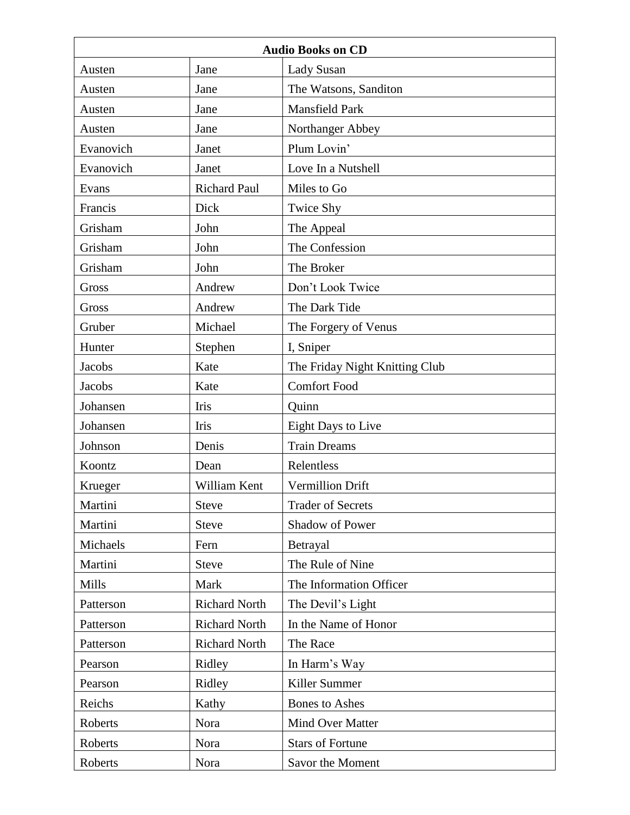| <b>Audio Books on CD</b> |                      |                                |  |
|--------------------------|----------------------|--------------------------------|--|
| Austen                   | Jane                 | <b>Lady Susan</b>              |  |
| Austen                   | Jane                 | The Watsons, Sanditon          |  |
| Austen                   | Jane                 | <b>Mansfield Park</b>          |  |
| Austen                   | Jane                 | Northanger Abbey               |  |
| Evanovich                | Janet                | Plum Lovin'                    |  |
| Evanovich                | Janet                | Love In a Nutshell             |  |
| Evans                    | <b>Richard Paul</b>  | Miles to Go                    |  |
| Francis                  | Dick                 | <b>Twice Shy</b>               |  |
| Grisham                  | John                 | The Appeal                     |  |
| Grisham                  | John                 | The Confession                 |  |
| Grisham                  | John                 | The Broker                     |  |
| Gross                    | Andrew               | Don't Look Twice               |  |
| Gross                    | Andrew               | The Dark Tide                  |  |
| Gruber                   | Michael              | The Forgery of Venus           |  |
| Hunter                   | Stephen              | I, Sniper                      |  |
| Jacobs                   | Kate                 | The Friday Night Knitting Club |  |
| Jacobs                   | Kate                 | <b>Comfort Food</b>            |  |
| Johansen                 | Iris                 | Quinn                          |  |
| Johansen                 | Iris                 | Eight Days to Live             |  |
| Johnson                  | Denis                | <b>Train Dreams</b>            |  |
| Koontz                   | Dean                 | Relentless                     |  |
| Krueger                  | William Kent         | <b>Vermillion Drift</b>        |  |
| Martini                  | <b>Steve</b>         | <b>Trader of Secrets</b>       |  |
| Martini                  | <b>Steve</b>         | Shadow of Power                |  |
| Michaels                 | Fern                 | Betrayal                       |  |
| Martini                  | <b>Steve</b>         | The Rule of Nine               |  |
| Mills                    | Mark                 | The Information Officer        |  |
| Patterson                | <b>Richard North</b> | The Devil's Light              |  |
| Patterson                | <b>Richard North</b> | In the Name of Honor           |  |
| Patterson                | <b>Richard North</b> | The Race                       |  |
| Pearson                  | Ridley               | In Harm's Way                  |  |
| Pearson                  | Ridley               | Killer Summer                  |  |
| Reichs                   | Kathy                | <b>Bones</b> to Ashes          |  |
| Roberts                  | Nora                 | Mind Over Matter               |  |
| Roberts                  | Nora                 | <b>Stars of Fortune</b>        |  |
| Roberts                  | Nora                 | Savor the Moment               |  |